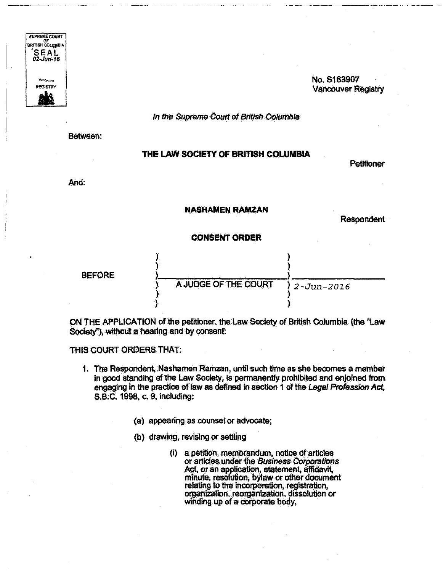

## No. S163907 **Vancouver Registry**

In the Supreme Court of British Columbia

Between:

## THE LAW SOCIETY OF BRITISH COLUMBIA

Petitioner

And.

## **NASHAMEN RAMZAN**

**Respondent** 

## **CONSENT ORDER**



ON THE APPLICATION of the petitioner, the Law Society of British Columbia (the "Law Society"), without a hearing and by consent:

THIS COURT ORDERS THAT:

- 1. The Respondent, Nashamen Ramzan, until such time as she becomes a member in good standing of the Law Society, is permanently prohibited and enjoined from engaging in the practice of law as defined in section 1 of the Legal Profession Act, S.B.C. 1998, c. 9, including:
	- (a) appearing as counsel or advocate;
	- (b) drawing, revising or settling
		- (i) a petition, memorandum, notice of articles or articles under the Business Corporations Act, or an application, statement, affidavit, minute, resolution, bylaw or other document relating to the incorporation, registration, organization, reorganization, dissolution or winding up of a corporate body,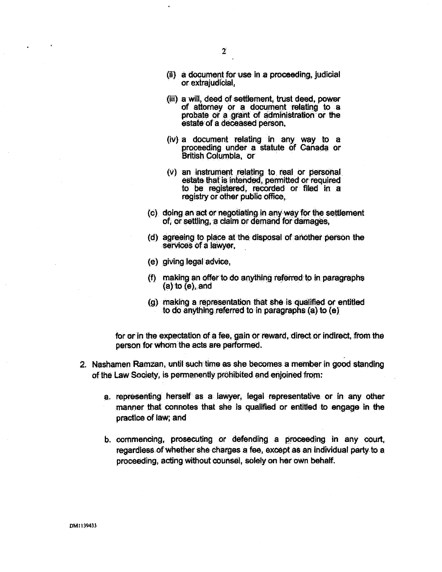- (ii) a document for use In a proceeding, judicial or extrajudicial,
- (iii) a will, deed of settlement, trust deed, power of attorney or a document relating to a probate or a grant of administration or the estate of a deceased person,
- (iv) a document relating in any way to a proceeding under a statute of Canada or British Columbia, or
- (v) an instrument relating to real or personal estata that is intended, permitted or required to be registered, recorded or filed in a registry or other public office,
- (c) doing an act or negotiating in any way for the settlement of, or settling, a claim or demand for damages,
- (d) agreeing to place at the disposal of another person the services of a lawyer,
- (e) giving legal advice,
- (f) making an offer to do anything referred to in paragraphs  $(a)$  to  $(e)$ , and
- (g) making a representation that she is qualified or entitled to do anything referred to in paragraphs (a) to (e)

for or in the expectation of a fee, gain or reward, direct or indirect, from the person for whom the acts are performed.

- 2. Nashamen Ramzan, until such time as she becomes a member in good standing of the Law Society, is permanently prohibited and enjoined from:
	- a. representing herself as a lawyer, legal representative or in any other manner that connotes that she is qualified or entitled to engage in the practice of law; and
	- b. commencing, prosecuting or defending a proceeding in any court, regardless of whether she charges a fee, except as an individual party to a proceeding, acting without counsel, solely on her own behalf.